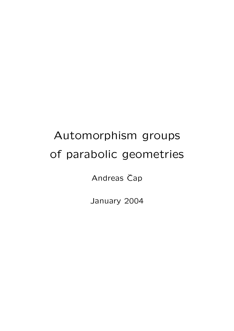# Automorphism groups of parabolic geometries

Andreas Čap

January 2004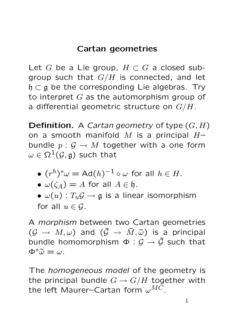# Cartan geometries

Let G be a Lie group,  $H \subset G$  a closed subgroup such that  $G/H$  is connected, and let  $\mathfrak{h} \subset \mathfrak{g}$  be the corresponding Lie algebras. Try to interpret  $G$  as the automorphism group of a differential geometric structure on  $G/H$ .

**Definition.** A *Cartan geometry* of type  $(G, H)$ on a smooth manifold M is a principal  $H$ bundle  $p: \mathcal{G} \to M$  together with a one form  $\omega \in \Omega^1(\mathcal{G}, \mathfrak{g})$  such that

• 
$$
(r^h)^*\omega = \text{Ad}(h)^{-1} \circ \omega
$$
 for all  $h \in H$ .

• 
$$
\omega(\zeta_A) = A
$$
 for all  $A \in \mathfrak{h}$ .

•  $\omega(u)$ :  $T_u\mathcal{G} \rightarrow \mathfrak{g}$  is a linear isomorphism for all  $u \in \mathcal{G}$ .

A morphism between two Cartan geometries  $(\mathcal{G} \rightarrow M, \omega)$  and  $(\tilde{\mathcal{G}} \rightarrow \tilde{M}, \tilde{\omega})$  is a principal bundle homomorphism  $\Phi : \mathcal{G} \to \tilde{\mathcal{G}}$  such that  $\Phi^*\tilde{\omega} = \omega$ .

The *homogeneous model* of the geometry is the principal bundle  $G \rightarrow G/H$  together with the left Maurer–Cartan form  $\omega^{MC}$ .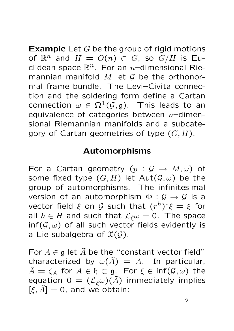**Example** Let  $G$  be the group of rigid motions of  $\mathbb{R}^n$  and  $H = O(n) \subset G$ , so  $G/H$  is Euclidean space  $\mathbb{R}^n$ . For an *n*-dimensional Riemannian manifold  $M$  let  $G$  be the orthonormal frame bundle. The Levi–Civita connection and the soldering form define a Cartan connection  $\omega \in \Omega^1(\mathcal{G}, \mathfrak{g})$ . This leads to an equivalence of categories between  $n-$ dimensional Riemannian manifolds and a subcategory of Cartan geometries of type  $(G, H)$ .

### Automorphisms

For a Cartan geometry  $(p : \mathcal{G} \to M, \omega)$  of some fixed type  $(G, H)$  let  $Aut(\mathcal{G}, \omega)$  be the group of automorphisms. The infinitesimal version of an automorphism  $\Phi : \mathcal{G} \to \mathcal{G}$  is a vector field  $\xi$  on  ${\cal G}$  such that  $(r^h)^*\xi=\xi$  for all  $h \in H$  and such that  $\mathcal{L}_{\xi}\omega = 0$ . The space  $\inf(\mathcal{G}, \omega)$  of all such vector fields evidently is a Lie subalgebra of  $\mathfrak{X}(\mathcal{G})$ .

For  $A \in \mathfrak{g}$  let  $\tilde{A}$  be the "constant vector field" characterized by  $\omega(\tilde{A}) = A$ . In particular,  $\tilde{A} = \zeta_A$  for  $A \in \mathfrak{h} \subset \mathfrak{g}$ . For  $\xi \in \text{inf}(\mathcal{G}, \omega)$  the equation 0 =  $(\mathcal{L}_{\xi}\omega)(\tilde{A})$  immediately implies  $[\xi, \tilde{A}] = 0$ , and we obtain: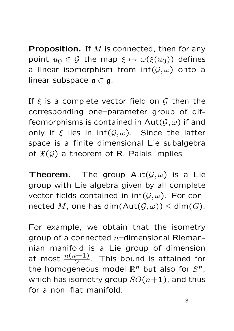**Proposition.** If  $M$  is connected, then for any point  $u_0 \in \mathcal{G}$  the map  $\xi \mapsto \omega(\xi(u_0))$  defines a linear isomorphism from  $inf(G, \omega)$  onto a linear subspace  $\mathfrak{a} \subset \mathfrak{g}$ .

If  $\xi$  is a complete vector field on  $\mathcal G$  then the corresponding one–parameter group of diffeomorphisms is contained in  $Aut(\mathcal{G}, \omega)$  if and only if  $\xi$  lies in inf( $\mathcal{G}, \omega$ ). Since the latter space is a finite dimensional Lie subalgebra of  $\mathfrak{X}(\mathcal{G})$  a theorem of R. Palais implies

**Theorem.** The group  $Aut(\mathcal{G}, \omega)$  is a Lie group with Lie algebra given by all complete vector fields contained in  $\inf(\mathcal{G}, \omega)$ . For connected M, one has dim $(\text{Aut}(\mathcal{G},\omega)) \leq \text{dim}(G)$ .

For example, we obtain that the isometry group of a connected  $n$ –dimensional Riemannian manifold is a Lie group of dimension at most  $\frac{n(n+1)}{2}$ . This bound is attained for the homogeneous model  $\mathbb{R}^n$  but also for  $S^n$ , which has isometry group  $SO(n+1)$ , and thus for a non–flat manifold.

3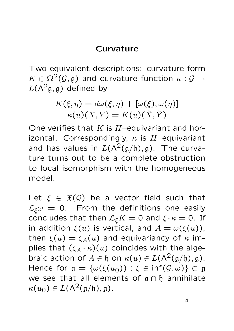## Curvature

Two equivalent descriptions: curvature form  $K \in \Omega^2(\mathcal{G}, \mathfrak{g})$  and curvature function  $\kappa : \mathcal{G} \to$  $L(\Lambda^2\mathfrak{g},\mathfrak{g})$  defined by

$$
K(\xi, \eta) = d\omega(\xi, \eta) + [\omega(\xi), \omega(\eta)]
$$

$$
\kappa(u)(X, Y) = K(u)(\tilde{X}, \tilde{Y})
$$

One verifies that  $K$  is  $H$ –equivariant and horizontal. Correspondingly,  $\kappa$  is H-equivariant and has values in  $L(\Lambda^2(\mathfrak{g}/\mathfrak{h}), \mathfrak{g})$ . The curvature turns out to be a complete obstruction to local isomorphism with the homogeneous model.

Let  $\xi \in \mathfrak{X}(\mathcal{G})$  be a vector field such that  $\mathcal{L}_{\xi}\omega = 0$ . From the definitions one easily concludes that then  $\mathcal{L}_{\xi}K = 0$  and  $\xi \cdot \kappa = 0$ . If in addition  $\xi(u)$  is vertical, and  $A = \omega(\xi(u))$ , then  $\xi(u) = \zeta_A(u)$  and equivariancy of  $\kappa$  implies that  $(\zeta_A \cdot \kappa)(u)$  coincides with the algebraic action of  $A \in \mathfrak{h}$  on  $\kappa(u) \in L(\Lambda^2(\mathfrak{g}/\mathfrak{h}), \mathfrak{g})$ . Hence for  $a = {\omega(\xi(u_0)) : \xi \in \text{inf}(G, \omega)} \subset \mathfrak{g}$ we see that all elements of  $a ∩ b$  annihilate  $\kappa(u_0) \in L(\Lambda^2(\mathfrak{g}/\mathfrak{h}), \mathfrak{g}).$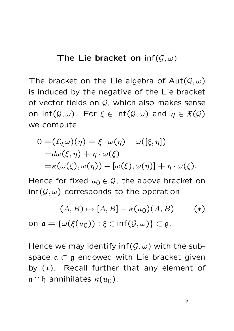#### The Lie bracket on  $\inf(\mathcal{G},\omega)$

The bracket on the Lie algebra of  $Aut(G, \omega)$ is induced by the negative of the Lie bracket of vector fields on  $G$ , which also makes sense on inf( $G, \omega$ ). For  $\xi \in \text{inf}(G, \omega)$  and  $\eta \in \mathfrak{X}(G)$ we compute

$$
0 = (\mathcal{L}_{\xi}\omega)(\eta) = \xi \cdot \omega(\eta) - \omega([\xi, \eta])
$$
  
= $d\omega(\xi, \eta) + \eta \cdot \omega(\xi)$   
= $\kappa(\omega(\xi), \omega(\eta)) - [\omega(\xi), \omega(\eta)] + \eta \cdot \omega(\xi).$ 

Hence for fixed  $u_0 \in \mathcal{G}$ , the above bracket on  $\inf(\mathcal{G}, \omega)$  corresponds to the operation

$$
(A, B) \mapsto [A, B] - \kappa(u_0)(A, B) \qquad (*)
$$
  
on  $\mathfrak{a} = {\omega(\xi(u_0)) : \xi \in \inf(\mathcal{G}, \omega)} \subset \mathfrak{g}.$ 

Hence we may identify inf( $\mathcal{G}, \omega$ ) with the subspace  $\mathfrak{a} \subset \mathfrak{g}$  endowed with Lie bracket given by (∗). Recall further that any element of  $a \cap b$  annihilates  $\kappa(u_0)$ .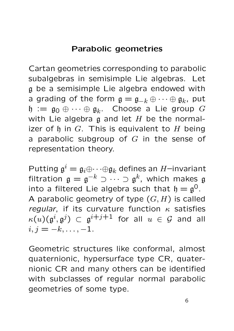# Parabolic geometries

Cartan geometries corresponding to parabolic subalgebras in semisimple Lie algebras. Let g be a semisimple Lie algebra endowed with a grading of the form  $\mathfrak{g}=\mathfrak{g}_{-k}\oplus\cdots\oplus\mathfrak{g}_{k}$ , put  $\mathfrak{h} := \mathfrak{g}_0 \oplus \cdots \oplus \mathfrak{g}_k$ . Choose a Lie group  $G$ with Lie algebra  $\frak g$  and let  $H$  be the normalizer of  $\mathfrak h$  in G. This is equivalent to H being a parabolic subgroup of  $G$  in the sense of representation theory.

Putting  $\mathfrak{g}^i = \mathfrak{g}_i \oplus \cdots \oplus \mathfrak{g}_k$  defines an  $H$ -invariant filtration  $\mathfrak{g}=\mathfrak{g}^{-k}\supset\cdots\supset\mathfrak{g}^k$ , which makes  $\mathfrak g$ into a filtered Lie algebra such that  $\mathfrak{h}=\mathfrak{g}^0$ . A parabolic geometry of type  $(G, H)$  is called regular, if its curvature function  $\kappa$  satisfies  $\kappa(u)(\mathfrak{g}^i, \mathfrak{g}^j) \ \subset \ \mathfrak{g}^{i+j+1}$  for all  $u \ \in \ \mathcal{G}$  and all  $i, j = -k, \ldots, -1.$ 

Geometric structures like conformal, almost quaternionic, hypersurface type CR, quaternionic CR and many others can be identified with subclasses of regular normal parabolic geometries of some type.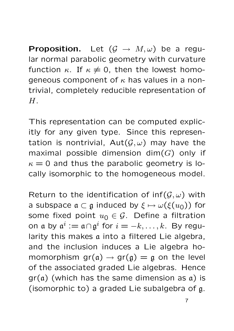**Proposition.** Let  $(G \rightarrow M, \omega)$  be a regular normal parabolic geometry with curvature function  $\kappa$ . If  $\kappa \neq 0$ , then the lowest homogeneous component of  $\kappa$  has values in a nontrivial, completely reducible representation of  $H<sub>1</sub>$ 

This representation can be computed explicitly for any given type. Since this representation is nontrivial,  $Aut(G, \omega)$  may have the maximal possible dimension dim $(G)$  only if  $\kappa = 0$  and thus the parabolic geometry is locally isomorphic to the homogeneous model.

Return to the identification of  $inf(G, \omega)$  with a subspace  $\mathfrak{a} \subset \mathfrak{g}$  induced by  $\xi \mapsto \omega(\xi(u_0))$  for some fixed point  $u_0 \in \mathcal{G}$ . Define a filtration on a by  $\mathfrak{a}^i := \mathfrak{a} \cap \mathfrak{g}^i$  for  $i = -k, \ldots, k.$  By regularity this makes a into a filtered Lie algebra, and the inclusion induces a Lie algebra homomorphism  $gr(a) \rightarrow gr(g) = g$  on the level of the associated graded Lie algebras. Hence  $gr(a)$  (which has the same dimension as  $a)$  is (isomorphic to) a graded Lie subalgebra of g.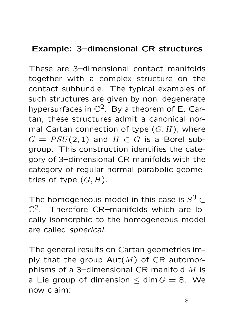# Example: 3–dimensional CR structures

These are 3–dimensional contact manifolds together with a complex structure on the contact subbundle. The typical examples of such structures are given by non–degenerate hypersurfaces in  $\mathbb{C}^2$ . By a theorem of E. Cartan, these structures admit a canonical normal Cartan connection of type  $(G, H)$ , where  $G = PSU(2, 1)$  and  $H \subset G$  is a Borel subgroup. This construction identifies the category of 3–dimensional CR manifolds with the category of regular normal parabolic geometries of type  $(G, H)$ .

The homogeneous model in this case is  $S^3$   $\subset$  $\mathbb{C}^2$ . Therefore CR-manifolds which are locally isomorphic to the homogeneous model are called spherical.

The general results on Cartan geometries imply that the group  $Aut(M)$  of CR automorphisms of a 3-dimensional CR manifold  $M$  is a Lie group of dimension  $\leq$  dim  $G = 8$ . We now claim: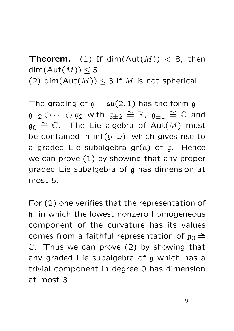**Theorem.** (1) If dim( $Aut(M)$ ) < 8, then  $dim(Aut(M)) < 5.$ 

(2) dim( $Aut(M)) \leq 3$  if M is not spherical.

The grading of  $g = \mathfrak{su}(2,1)$  has the form  $g =$  $\mathfrak{g}_{-2}\oplus\dots\oplus\mathfrak{g}_2$  with  $\mathfrak{g}_{\pm 2}\,\cong\,\mathbb{R},\,$   $\mathfrak{g}_{\pm 1}\,\cong\,\mathbb{C}$  and  $\mathfrak{g}_0 \cong \mathbb{C}$ . The Lie algebra of  $\mathsf{Aut}(M)$  must be contained in  $inf(G, \omega)$ , which gives rise to a graded Lie subalgebra  $gr(a)$  of  $g$ . Hence we can prove (1) by showing that any proper graded Lie subalgebra of g has dimension at most 5.

For (2) one verifies that the representation of h, in which the lowest nonzero homogeneous component of the curvature has its values comes from a faithful representation of  $\mathfrak{g}_0 \cong$  $\mathbb{C}$ . Thus we can prove (2) by showing that any graded Lie subalgebra of g which has a trivial component in degree 0 has dimension at most 3.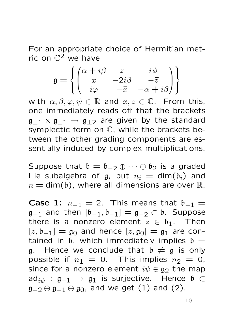For an appropriate choice of Hermitian metric on  $\mathbb{C}^2$  we have

$$
\mathfrak{g} = \left\{ \begin{pmatrix} \alpha + i\beta & z & i\psi \\ x & -2i\beta & -\overline{z} \\ i\varphi & -\overline{x} & -\alpha + i\beta \end{pmatrix} \right\}
$$

with  $\alpha, \beta, \varphi, \psi \in \mathbb{R}$  and  $x, z \in \mathbb{C}$ . From this, one immediately reads off that the brackets  $\mathfrak{g}_{\pm 1} \times \mathfrak{g}_{\pm 1} \to \mathfrak{g}_{\pm 2}$  are given by the standard symplectic form on  $\mathbb C$ , while the brackets between the other grading components are essentially induced by complex multiplications.

Suppose that  $\mathfrak{b} = \mathfrak{b}_{-2} \oplus \cdots \oplus \mathfrak{b}_2$  is a graded Lie subalgebra of g, put  $n_i = \dim(b_i)$  and  $n = \text{dim}(b)$ , where all dimensions are over  $\mathbb{R}$ .

**Case 1:**  $n_{-1} = 2$ . This means that  $b_{-1} =$  $\mathfrak{g}_{-1}$  and then  $[\mathfrak{b}_{-1}, \mathfrak{b}_{-1}] = \mathfrak{g}_{-2} \subset \mathfrak{b}$ . Suppose there is a nonzero element  $z \in \mathfrak{b}_1$ . Then  $[z, \mathfrak{b}_{-1}] = \mathfrak{g}_0$  and hence  $[z, \mathfrak{g}_0] = \mathfrak{g}_1$  are contained in  $\mathfrak b$ , which immediately implies  $\mathfrak b =$ g. Hence we conclude that  $\mathfrak{b} \neq \mathfrak{g}$  is only possible if  $n_1 = 0$ . This implies  $n_2 = 0$ , since for a nonzero element  $i\psi \in \mathfrak{g}_2$  the map  $ad_{i\psi}$  :  $\mathfrak{g}_{-1}$   $\rightarrow$   $\mathfrak{g}_1$  is surjective. Hence  $\mathfrak{b}$   $\subset$  $g_{-2} \oplus g_{-1} \oplus g_0$ , and we get (1) and (2).

10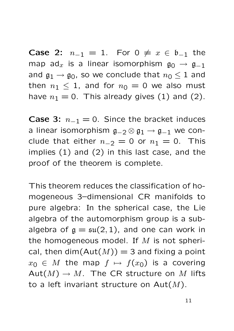**Case 2:**  $n_{-1} = 1$ . For  $0 \neq x \in \mathfrak{b}_{-1}$  the map ad<sub>x</sub> is a linear isomorphism  $g_0 \rightarrow g_{-1}$ and  $\mathfrak{g}_1 \rightarrow \mathfrak{g}_0$ , so we conclude that  $n_0 \leq 1$  and then  $n_1 \leq 1$ , and for  $n_0 = 0$  we also must have  $n_1 = 0$ . This already gives (1) and (2).

**Case 3:**  $n_{-1} = 0$ . Since the bracket induces a linear isomorphism  $g_{-2} \otimes g_1 \rightarrow g_{-1}$  we conclude that either  $n_{-2} = 0$  or  $n_1 = 0$ . This implies (1) and (2) in this last case, and the proof of the theorem is complete.

This theorem reduces the classification of homogeneous 3–dimensional CR manifolds to pure algebra: In the spherical case, the Lie algebra of the automorphism group is a subalgebra of  $g = \mathfrak{su}(2,1)$ , and one can work in the homogeneous model. If  $M$  is not spherical, then dim( $Aut(M)$ ) = 3 and fixing a point  $x_0 \in M$  the map  $f \mapsto f(x_0)$  is a covering  $Aut(M) \to M$ . The CR structure on M lifts to a left invariant structure on  $Aut(M)$ .